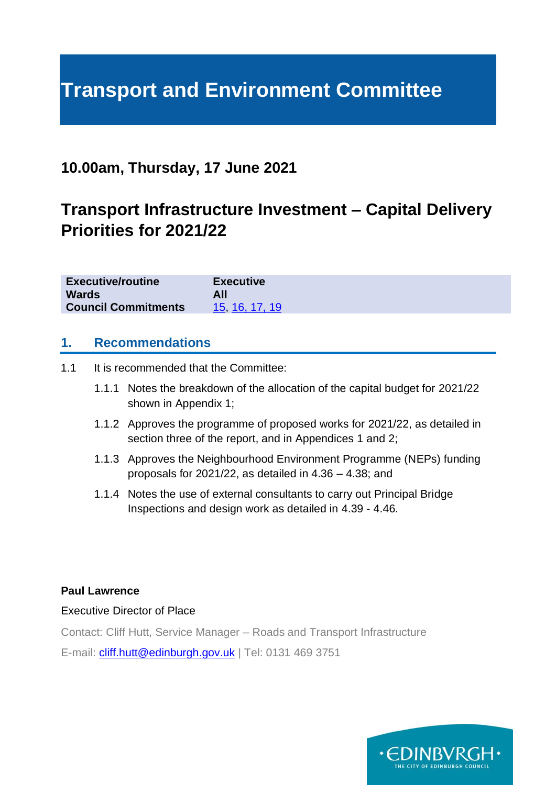# **Transport and Environment Committee**

## **10.00am, Thursday, 17 June 2021**

## **Transport Infrastructure Investment – Capital Delivery Priorities for 2021/22**

| <b>Executive/routine</b>   | <b>Executive</b> |
|----------------------------|------------------|
| <b>Wards</b>               |                  |
| <b>Council Commitments</b> | 15 16, 17, 19    |

#### **1. Recommendations**

1.1 It is recommended that the Committee:

- 1.1.1 Notes the breakdown of the allocation of the capital budget for 2021/22 shown in Appendix 1;
- 1.1.2 Approves the programme of proposed works for 2021/22, as detailed in section three of the report, and in Appendices 1 and 2;
- 1.1.3 Approves the Neighbourhood Environment Programme (NEPs) funding proposals for 2021/22, as detailed in 4.36 – 4.38; and
- 1.1.4 Notes the use of external consultants to carry out Principal Bridge Inspections and design work as detailed in 4.39 - 4.46.

#### **Paul Lawrence**

#### Executive Director of Place

Contact: Cliff Hutt, Service Manager – Roads and Transport Infrastructure

E-mail: [cliff.hutt@edinburgh.gov.uk](mailto:cliff.hutt@edinburgh.gov.uk) | Tel: 0131 469 3751

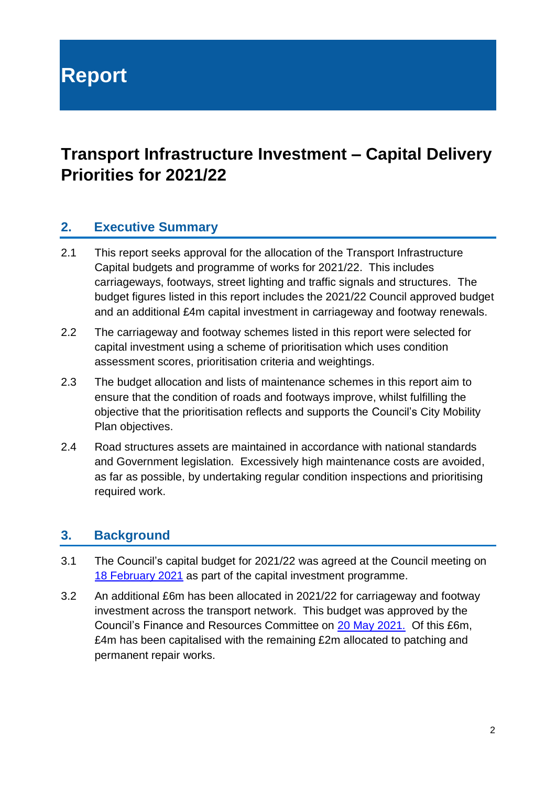**Report**

## **Transport Infrastructure Investment – Capital Delivery Priorities for 2021/22**

## **2. Executive Summary**

- 2.1 This report seeks approval for the allocation of the Transport Infrastructure Capital budgets and programme of works for 2021/22. This includes carriageways, footways, street lighting and traffic signals and structures. The budget figures listed in this report includes the 2021/22 Council approved budget and an additional £4m capital investment in carriageway and footway renewals.
- 2.2 The carriageway and footway schemes listed in this report were selected for capital investment using a scheme of prioritisation which uses condition assessment scores, prioritisation criteria and weightings.
- 2.3 The budget allocation and lists of maintenance schemes in this report aim to ensure that the condition of roads and footways improve, whilst fulfilling the objective that the prioritisation reflects and supports the Council's City Mobility Plan objectives.
- 2.4 Road structures assets are maintained in accordance with national standards and Government legislation. Excessively high maintenance costs are avoided, as far as possible, by undertaking regular condition inspections and prioritising required work.

## **3. Background**

- 3.1 The Council's capital budget for 2021/22 was agreed at the Council meeting on 18 [February 2021](https://democracy.edinburgh.gov.uk/ieListDocuments.aspx?CId=150&MId=5596&Ver=4) as part of the capital investment programme.
- 3.2 An additional £6m has been allocated in 2021/22 for carriageway and footway investment across the transport network. This budget was approved by the Council's Finance and Resources Committee on [20 May 2021.](https://democracy.edinburgh.gov.uk/ieListDocuments.aspx?CId=140&MId=5566&Ver=4) Of this £6m, £4m has been capitalised with the remaining £2m allocated to patching and permanent repair works.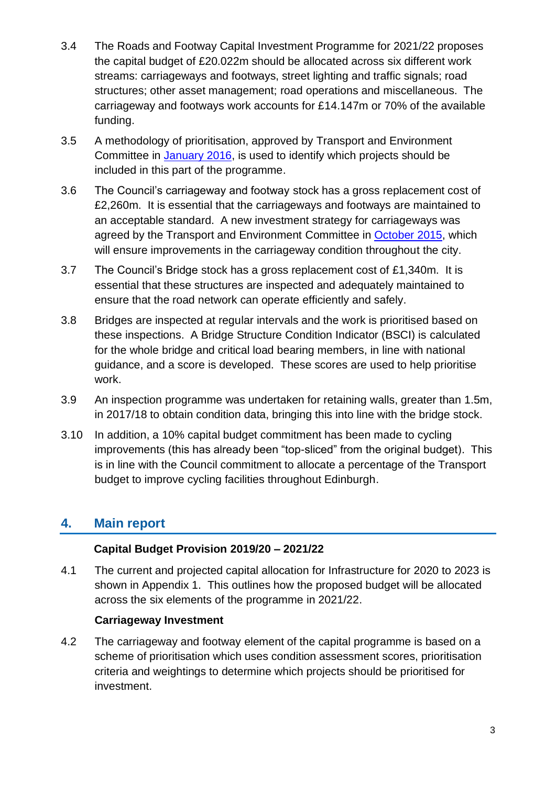- 3.4 The Roads and Footway Capital Investment Programme for 2021/22 proposes the capital budget of £20.022m should be allocated across six different work streams: carriageways and footways, street lighting and traffic signals; road structures; other asset management; road operations and miscellaneous. The carriageway and footways work accounts for £14.147m or 70% of the available funding.
- 3.5 A methodology of prioritisation, approved by Transport and Environment Committee in [January 2016,](https://democracy.edinburgh.gov.uk/Data/Transport%20and%20Environment%20Committee/20160112/Agenda/item_76_-_road_footway_and_bridges_investment_-_capital_programme_for_201617.pdf) is used to identify which projects should be included in this part of the programme.
- 3.6 The Council's carriageway and footway stock has a gross replacement cost of £2,260m. It is essential that the carriageways and footways are maintained to an acceptable standard. A new investment strategy for carriageways was agreed by the Transport and Environment Committee in [October 2015,](http://www.edinburgh.gov.uk/meetings/meeting/3784/transport_and_environment_committee) which will ensure improvements in the carriageway condition throughout the city.
- 3.7 The Council's Bridge stock has a gross replacement cost of £1,340m. It is essential that these structures are inspected and adequately maintained to ensure that the road network can operate efficiently and safely.
- 3.8 Bridges are inspected at regular intervals and the work is prioritised based on these inspections. A Bridge Structure Condition Indicator (BSCI) is calculated for the whole bridge and critical load bearing members, in line with national guidance, and a score is developed. These scores are used to help prioritise work.
- 3.9 An inspection programme was undertaken for retaining walls, greater than 1.5m, in 2017/18 to obtain condition data, bringing this into line with the bridge stock.
- 3.10 In addition, a 10% capital budget commitment has been made to cycling improvements (this has already been "top-sliced" from the original budget). This is in line with the Council commitment to allocate a percentage of the Transport budget to improve cycling facilities throughout Edinburgh.

## **4. Main report**

#### **Capital Budget Provision 2019/20 – 2021/22**

4.1 The current and projected capital allocation for Infrastructure for 2020 to 2023 is shown in [Appendix 1.](#page-11-0) This outlines how the proposed budget will be allocated across the six elements of the programme in 2021/22.

#### **Carriageway Investment**

4.2 The carriageway and footway element of the capital programme is based on a scheme of prioritisation which uses condition assessment scores, prioritisation criteria and weightings to determine which projects should be prioritised for investment.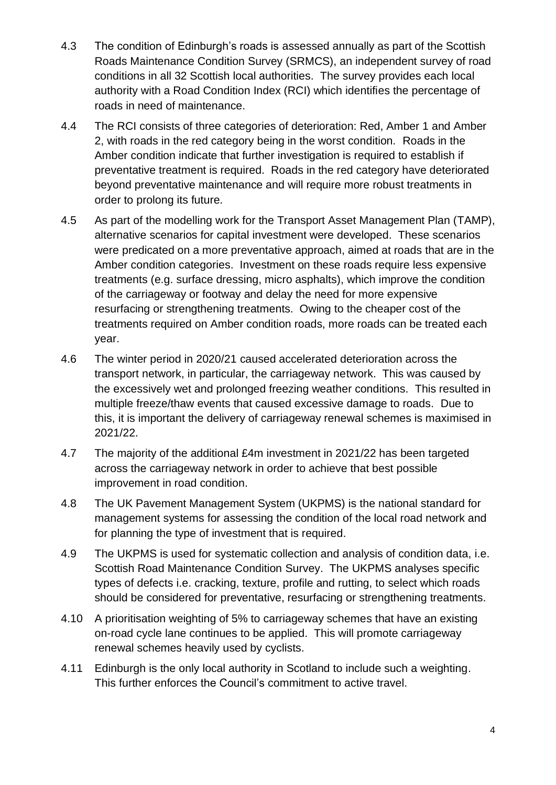- 4.3 The condition of Edinburgh's roads is assessed annually as part of the Scottish Roads Maintenance Condition Survey (SRMCS), an independent survey of road conditions in all 32 Scottish local authorities. The survey provides each local authority with a Road Condition Index (RCI) which identifies the percentage of roads in need of maintenance.
- 4.4 The RCI consists of three categories of deterioration: Red, Amber 1 and Amber 2, with roads in the red category being in the worst condition. Roads in the Amber condition indicate that further investigation is required to establish if preventative treatment is required. Roads in the red category have deteriorated beyond preventative maintenance and will require more robust treatments in order to prolong its future.
- 4.5 As part of the modelling work for the Transport Asset Management Plan (TAMP), alternative scenarios for capital investment were developed. These scenarios were predicated on a more preventative approach, aimed at roads that are in the Amber condition categories. Investment on these roads require less expensive treatments (e.g. surface dressing, micro asphalts), which improve the condition of the carriageway or footway and delay the need for more expensive resurfacing or strengthening treatments. Owing to the cheaper cost of the treatments required on Amber condition roads, more roads can be treated each year.
- 4.6 The winter period in 2020/21 caused accelerated deterioration across the transport network, in particular, the carriageway network. This was caused by the excessively wet and prolonged freezing weather conditions. This resulted in multiple freeze/thaw events that caused excessive damage to roads. Due to this, it is important the delivery of carriageway renewal schemes is maximised in 2021/22.
- 4.7 The majority of the additional £4m investment in 2021/22 has been targeted across the carriageway network in order to achieve that best possible improvement in road condition.
- 4.8 The UK Pavement Management System (UKPMS) is the national standard for management systems for assessing the condition of the local road network and for planning the type of investment that is required.
- 4.9 The UKPMS is used for systematic collection and analysis of condition data, i.e. Scottish Road Maintenance Condition Survey. The UKPMS analyses specific types of defects i.e. cracking, texture, profile and rutting, to select which roads should be considered for preventative, resurfacing or strengthening treatments.
- 4.10 A prioritisation weighting of 5% to carriageway schemes that have an existing on-road cycle lane continues to be applied. This will promote carriageway renewal schemes heavily used by cyclists.
- 4.11 Edinburgh is the only local authority in Scotland to include such a weighting. This further enforces the Council's commitment to active travel.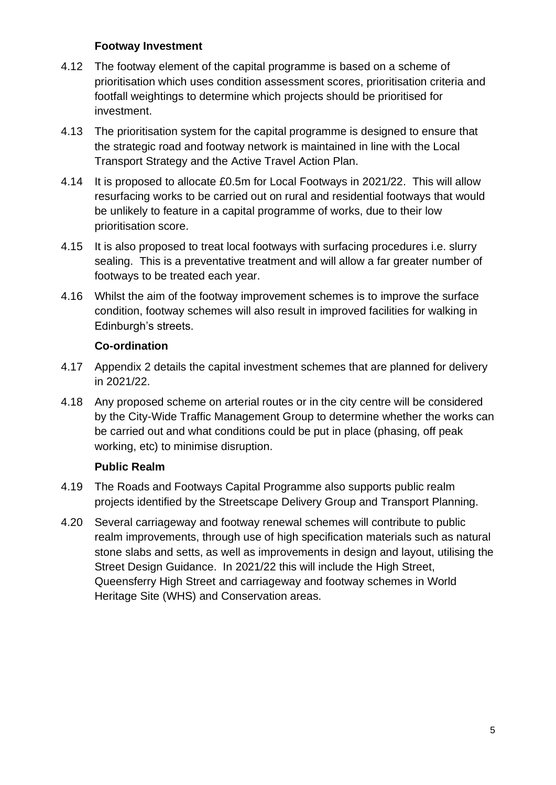#### **Footway Investment**

- 4.12 The footway element of the capital programme is based on a scheme of prioritisation which uses condition assessment scores, prioritisation criteria and footfall weightings to determine which projects should be prioritised for investment.
- 4.13 The prioritisation system for the capital programme is designed to ensure that the strategic road and footway network is maintained in line with the Local Transport Strategy and the Active Travel Action Plan.
- 4.14 It is proposed to allocate £0.5m for Local Footways in 2021/22. This will allow resurfacing works to be carried out on rural and residential footways that would be unlikely to feature in a capital programme of works, due to their low prioritisation score.
- 4.15 It is also proposed to treat local footways with surfacing procedures i.e. slurry sealing. This is a preventative treatment and will allow a far greater number of footways to be treated each year.
- 4.16 Whilst the aim of the footway improvement schemes is to improve the surface condition, footway schemes will also result in improved facilities for walking in Edinburgh's streets.

#### **Co-ordination**

- 4.17 Appendix 2 details the capital investment schemes that are planned for delivery in 2021/22.
- 4.18 Any proposed scheme on arterial routes or in the city centre will be considered by the City-Wide Traffic Management Group to determine whether the works can be carried out and what conditions could be put in place (phasing, off peak working, etc) to minimise disruption.

#### **Public Realm**

- 4.19 The Roads and Footways Capital Programme also supports public realm projects identified by the Streetscape Delivery Group and Transport Planning.
- 4.20 Several carriageway and footway renewal schemes will contribute to public realm improvements, through use of high specification materials such as natural stone slabs and setts, as well as improvements in design and layout, utilising the Street Design Guidance. In 2021/22 this will include the High Street, Queensferry High Street and carriageway and footway schemes in World Heritage Site (WHS) and Conservation areas.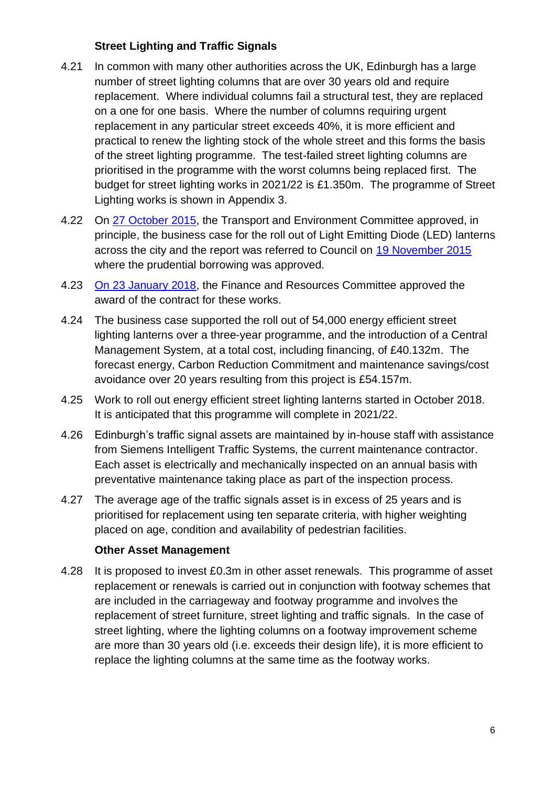#### **Street Lighting and Traffic Signals**

- 4.21 In common with many other authorities across the UK, Edinburgh has a large number of street lighting columns that are over 30 years old and require replacement. Where individual columns fail a structural test, they are replaced on a one for one basis. Where the number of columns requiring urgent replacement in any particular street exceeds 40%, it is more efficient and practical to renew the lighting stock of the whole street and this forms the basis of the street lighting programme. The test-failed street lighting columns are prioritised in the programme with the worst columns being replaced first. The budget for street lighting works in 2021/22 is £1.350m. The programme of Street Lighting works is shown in Appendix 3.
- 4.22 On [27 October 2015,](http://www.edinburgh.gov.uk/meetings/meeting/3784/transport_and_environment_committee) the Transport and Environment Committee approved, in principle, the business case for the roll out of Light Emitting Diode (LED) lanterns across the city and the report was referred to Council on [19 November 2015](http://www.edinburgh.gov.uk/meetings/meeting/3806/city_of_edinburgh_council) where the prudential borrowing was approved.
- 4.23 [On 23 January 2018,](http://www.edinburgh.gov.uk/meetings/meeting/4309/finance_and_resources_committee) the Finance and Resources Committee approved the award of the contract for these works.
- 4.24 The business case supported the roll out of 54,000 energy efficient street lighting lanterns over a three-year programme, and the introduction of a Central Management System, at a total cost, including financing, of £40.132m. The forecast energy, Carbon Reduction Commitment and maintenance savings/cost avoidance over 20 years resulting from this project is £54.157m.
- 4.25 Work to roll out energy efficient street lighting lanterns started in October 2018. It is anticipated that this programme will complete in 2021/22.
- 4.26 Edinburgh's traffic signal assets are maintained by in-house staff with assistance from Siemens Intelligent Traffic Systems, the current maintenance contractor. Each asset is electrically and mechanically inspected on an annual basis with preventative maintenance taking place as part of the inspection process.
- 4.27 The average age of the traffic signals asset is in excess of 25 years and is prioritised for replacement using ten separate criteria, with higher weighting placed on age, condition and availability of pedestrian facilities.

#### **Other Asset Management**

4.28 It is proposed to invest £0.3m in other asset renewals. This programme of asset replacement or renewals is carried out in conjunction with footway schemes that are included in the carriageway and footway programme and involves the replacement of street furniture, street lighting and traffic signals. In the case of street lighting, where the lighting columns on a footway improvement scheme are more than 30 years old (i.e. exceeds their design life), it is more efficient to replace the lighting columns at the same time as the footway works.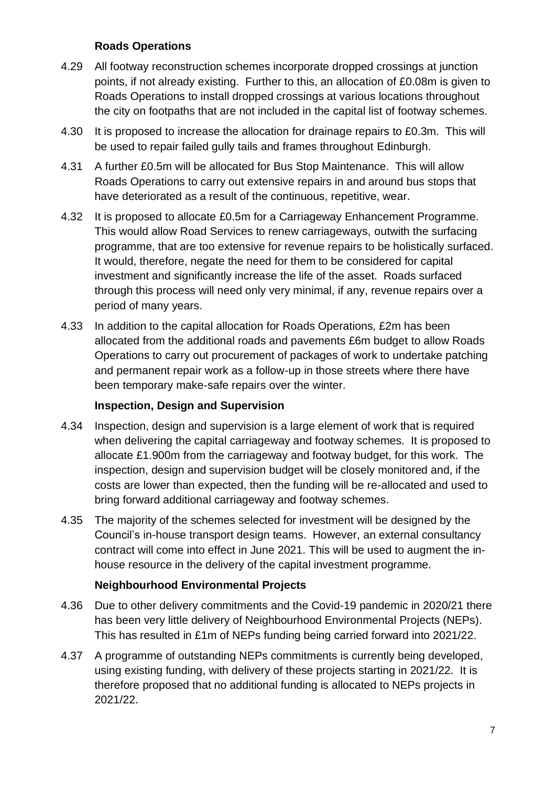#### **Roads Operations**

- 4.29 All footway reconstruction schemes incorporate dropped crossings at junction points, if not already existing. Further to this, an allocation of £0.08m is given to Roads Operations to install dropped crossings at various locations throughout the city on footpaths that are not included in the capital list of footway schemes.
- 4.30 It is proposed to increase the allocation for drainage repairs to £0.3m. This will be used to repair failed gully tails and frames throughout Edinburgh.
- 4.31 A further £0.5m will be allocated for Bus Stop Maintenance. This will allow Roads Operations to carry out extensive repairs in and around bus stops that have deteriorated as a result of the continuous, repetitive, wear.
- 4.32 It is proposed to allocate £0.5m for a Carriageway Enhancement Programme. This would allow Road Services to renew carriageways, outwith the surfacing programme, that are too extensive for revenue repairs to be holistically surfaced. It would, therefore, negate the need for them to be considered for capital investment and significantly increase the life of the asset. Roads surfaced through this process will need only very minimal, if any, revenue repairs over a period of many years.
- 4.33 In addition to the capital allocation for Roads Operations, £2m has been allocated from the additional roads and pavements £6m budget to allow Roads Operations to carry out procurement of packages of work to undertake patching and permanent repair work as a follow-up in those streets where there have been temporary make-safe repairs over the winter.

#### **Inspection, Design and Supervision**

- 4.34 Inspection, design and supervision is a large element of work that is required when delivering the capital carriageway and footway schemes. It is proposed to allocate £1.900m from the carriageway and footway budget, for this work. The inspection, design and supervision budget will be closely monitored and, if the costs are lower than expected, then the funding will be re-allocated and used to bring forward additional carriageway and footway schemes.
- 4.35 The majority of the schemes selected for investment will be designed by the Council's in-house transport design teams. However, an external consultancy contract will come into effect in June 2021. This will be used to augment the inhouse resource in the delivery of the capital investment programme.

#### **Neighbourhood Environmental Projects**

- 4.36 Due to other delivery commitments and the Covid-19 pandemic in 2020/21 there has been very little delivery of Neighbourhood Environmental Projects (NEPs). This has resulted in £1m of NEPs funding being carried forward into 2021/22.
- 4.37 A programme of outstanding NEPs commitments is currently being developed, using existing funding, with delivery of these projects starting in 2021/22. It is therefore proposed that no additional funding is allocated to NEPs projects in 2021/22.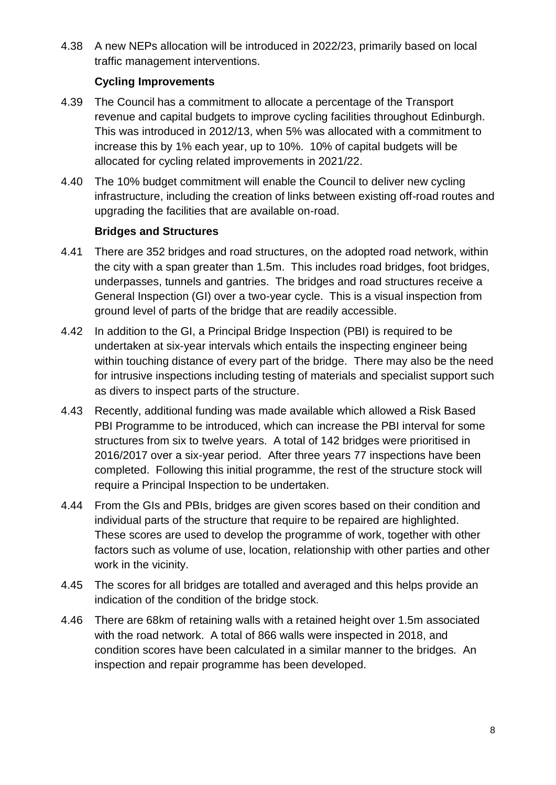4.38 A new NEPs allocation will be introduced in 2022/23, primarily based on local traffic management interventions.

#### **Cycling Improvements**

- 4.39 The Council has a commitment to allocate a percentage of the Transport revenue and capital budgets to improve cycling facilities throughout Edinburgh. This was introduced in 2012/13, when 5% was allocated with a commitment to increase this by 1% each year, up to 10%. 10% of capital budgets will be allocated for cycling related improvements in 2021/22.
- 4.40 The 10% budget commitment will enable the Council to deliver new cycling infrastructure, including the creation of links between existing off-road routes and upgrading the facilities that are available on-road.

#### **Bridges and Structures**

- 4.41 There are 352 bridges and road structures, on the adopted road network, within the city with a span greater than 1.5m. This includes road bridges, foot bridges, underpasses, tunnels and gantries. The bridges and road structures receive a General Inspection (GI) over a two-year cycle. This is a visual inspection from ground level of parts of the bridge that are readily accessible.
- 4.42 In addition to the GI, a Principal Bridge Inspection (PBI) is required to be undertaken at six-year intervals which entails the inspecting engineer being within touching distance of every part of the bridge. There may also be the need for intrusive inspections including testing of materials and specialist support such as divers to inspect parts of the structure.
- 4.43 Recently, additional funding was made available which allowed a Risk Based PBI Programme to be introduced, which can increase the PBI interval for some structures from six to twelve years. A total of 142 bridges were prioritised in 2016/2017 over a six-year period. After three years 77 inspections have been completed. Following this initial programme, the rest of the structure stock will require a Principal Inspection to be undertaken.
- 4.44 From the GIs and PBIs, bridges are given scores based on their condition and individual parts of the structure that require to be repaired are highlighted. These scores are used to develop the programme of work, together with other factors such as volume of use, location, relationship with other parties and other work in the vicinity.
- 4.45 The scores for all bridges are totalled and averaged and this helps provide an indication of the condition of the bridge stock.
- 4.46 There are 68km of retaining walls with a retained height over 1.5m associated with the road network. A total of 866 walls were inspected in 2018, and condition scores have been calculated in a similar manner to the bridges. An inspection and repair programme has been developed.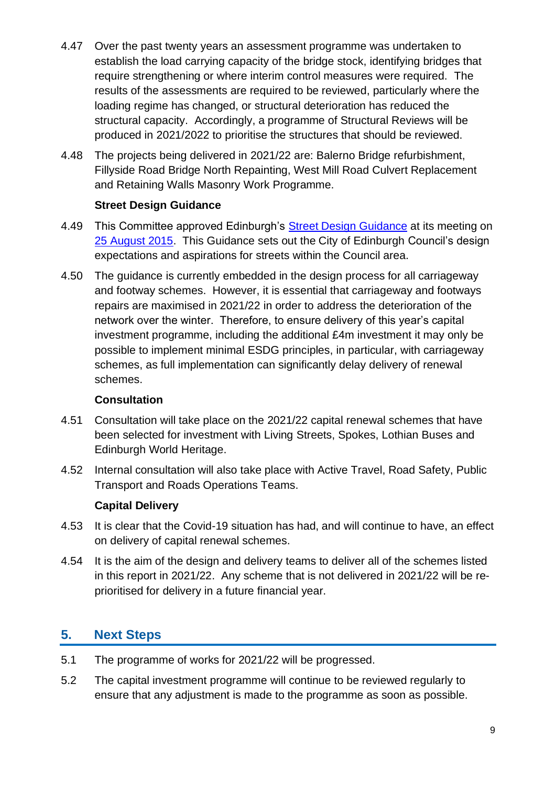- 4.47 Over the past twenty years an assessment programme was undertaken to establish the load carrying capacity of the bridge stock, identifying bridges that require strengthening or where interim control measures were required. The results of the assessments are required to be reviewed, particularly where the loading regime has changed, or structural deterioration has reduced the structural capacity. Accordingly, a programme of Structural Reviews will be produced in 2021/2022 to prioritise the structures that should be reviewed.
- 4.48 The projects being delivered in 2021/22 are: Balerno Bridge refurbishment, Fillyside Road Bridge North Repainting, West Mill Road Culvert Replacement and Retaining Walls Masonry Work Programme.

#### **Street Design Guidance**

- 4.49 This Committee approved Edinburgh's Street Design Guidance at its meeting on [25 August 2015.](http://www.edinburgh.gov.uk/meetings/meeting/3735/transport_and_environment_committee) This Guidance sets out the City of Edinburgh Council's design expectations and aspirations for streets within the Council area.
- 4.50 The guidance is currently embedded in the design process for all carriageway and footway schemes. However, it is essential that carriageway and footways repairs are maximised in 2021/22 in order to address the deterioration of the network over the winter. Therefore, to ensure delivery of this year's capital investment programme, including the additional £4m investment it may only be possible to implement minimal ESDG principles, in particular, with carriageway schemes, as full implementation can significantly delay delivery of renewal schemes.

#### **Consultation**

- 4.51 Consultation will take place on the 2021/22 capital renewal schemes that have been selected for investment with Living Streets, Spokes, Lothian Buses and Edinburgh World Heritage.
- 4.52 Internal consultation will also take place with Active Travel, Road Safety, Public Transport and Roads Operations Teams.

#### **Capital Delivery**

- 4.53 It is clear that the Covid-19 situation has had, and will continue to have, an effect on delivery of capital renewal schemes.
- 4.54 It is the aim of the design and delivery teams to deliver all of the schemes listed in this report in 2021/22. Any scheme that is not delivered in 2021/22 will be reprioritised for delivery in a future financial year.

## **5. Next Steps**

- 5.1 The programme of works for 2021/22 will be progressed.
- 5.2 The capital investment programme will continue to be reviewed regularly to ensure that any adjustment is made to the programme as soon as possible.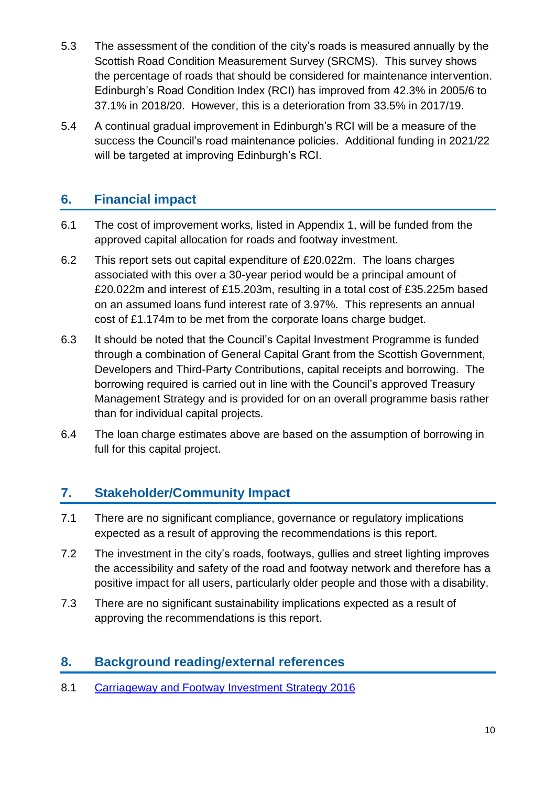- 5.3 The assessment of the condition of the city's roads is measured annually by the Scottish Road Condition Measurement Survey (SRCMS). This survey shows the percentage of roads that should be considered for maintenance intervention. Edinburgh's Road Condition Index (RCI) has improved from 42.3% in 2005/6 to 37.1% in 2018/20. However, this is a deterioration from 33.5% in 2017/19.
- 5.4 A continual gradual improvement in Edinburgh's RCI will be a measure of the success the Council's road maintenance policies. Additional funding in 2021/22 will be targeted at improving Edinburgh's RCI.

## **6. Financial impact**

- 6.1 The cost of improvement works, listed in Appendix 1, will be funded from the approved capital allocation for roads and footway investment.
- 6.2 This report sets out capital expenditure of £20.022m. The loans charges associated with this over a 30-year period would be a principal amount of £20.022m and interest of £15.203m, resulting in a total cost of £35.225m based on an assumed loans fund interest rate of 3.97%. This represents an annual cost of £1.174m to be met from the corporate loans charge budget.
- 6.3 It should be noted that the Council's Capital Investment Programme is funded through a combination of General Capital Grant from the Scottish Government, Developers and Third-Party Contributions, capital receipts and borrowing. The borrowing required is carried out in line with the Council's approved Treasury Management Strategy and is provided for on an overall programme basis rather than for individual capital projects.
- 6.4 The loan charge estimates above are based on the assumption of borrowing in full for this capital project.

## **7. Stakeholder/Community Impact**

- 7.1 There are no significant compliance, governance or regulatory implications expected as a result of approving the recommendations is this report.
- 7.2 The investment in the city's roads, footways, gullies and street lighting improves the accessibility and safety of the road and footway network and therefore has a positive impact for all users, particularly older people and those with a disability.
- 7.3 There are no significant sustainability implications expected as a result of approving the recommendations is this report.

## **8. Background reading/external references**

8.1 [Carriageway and Footway Investment Strategy 2016](http://www.edinburgh.gov.uk/meetings/meeting/3784/transport_and_environment_committee)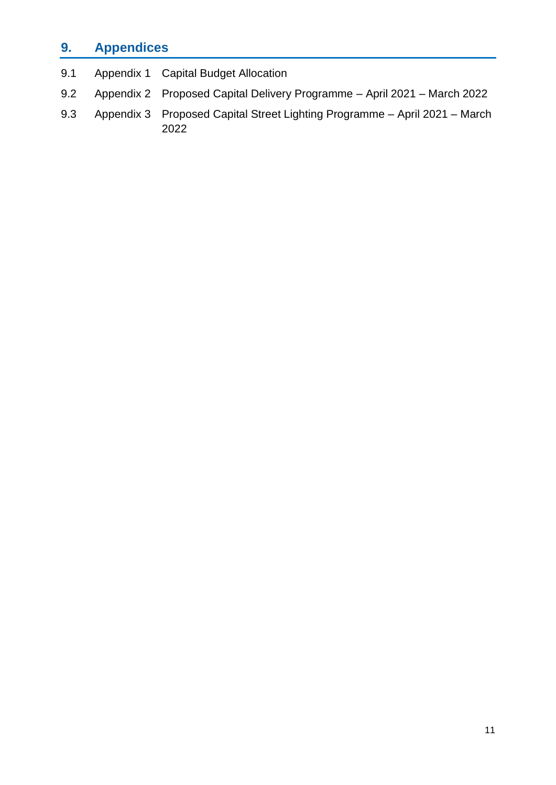## **9. Appendices**

| 9.1 | Appendix 1 Capital Budget Allocation                                           |
|-----|--------------------------------------------------------------------------------|
|     | 9.2 Appendix 2 Proposed Capital Delivery Programme – April 2021 – March 2022   |
|     | 9.3 Appendix 3 Proposed Capital Street Lighting Programme – April 2021 – March |

2022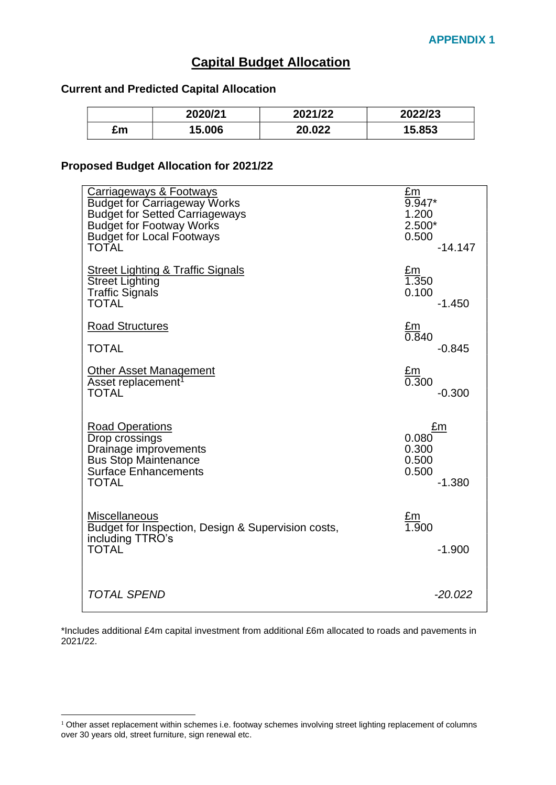## **Capital Budget Allocation**

#### <span id="page-11-0"></span>**Current and Predicted Capital Allocation**

|    | 2020/21 | 2021/22 | 2022/23 |
|----|---------|---------|---------|
| £m | 15.006  | 20.022  | 5.853   |

#### **Proposed Budget Allocation for 2021/22**

| <b>Carriageways &amp; Footways</b>                                                                             | $E_{\rm m}$                           |
|----------------------------------------------------------------------------------------------------------------|---------------------------------------|
| <b>Budget for Carriageway Works</b>                                                                            | $9.947*$                              |
| <b>Budget for Setted Carriageways</b>                                                                          | 1.200                                 |
| <b>Budget for Footway Works</b>                                                                                | $2.500*$                              |
| <b>Budget for Local Footways</b>                                                                               | 0.500                                 |
| <b>TOTAL</b>                                                                                                   | $-14.147$                             |
| <b>Street Lighting &amp; Traffic Signals</b>                                                                   | £m                                    |
| <b>Street Lighting</b>                                                                                         | 1.350                                 |
| <b>Traffic Signals</b>                                                                                         | 0.100                                 |
| <b>TOTAL</b>                                                                                                   | $-1.450$                              |
| <b>Road Structures</b>                                                                                         | <u>£m</u><br>0.840                    |
| <b>TOTAL</b>                                                                                                   | $-0.845$                              |
| <b>Other Asset Management</b><br>Asset replacement <sup>1</sup><br><b>TOTAL</b>                                | <u>£m</u><br>0.300<br>$-0.300$        |
| <b>Road Operations</b>                                                                                         | £m                                    |
| Drop crossings                                                                                                 | 0.080                                 |
| Drainage improvements                                                                                          | 0.300                                 |
| <b>Bus Stop Maintenance</b>                                                                                    | 0.500                                 |
| <b>Surface Enhancements</b>                                                                                    | 0.500                                 |
| <b>TOTAL</b>                                                                                                   | $-1.380$                              |
| <b>Miscellaneous</b><br>Budget for Inspection, Design & Supervision costs,<br>including TTRO's<br><b>TOTAL</b> | $\frac{\text{Em}}{1.900}$<br>$-1.900$ |
| <b>TOTAL SPEND</b>                                                                                             | $-20.022$                             |

\*Includes additional £4m capital investment from additional £6m allocated to roads and pavements in 2021/22.

<sup>&</sup>lt;sup>1</sup> Other asset replacement within schemes i.e. footway schemes involving street lighting replacement of columns over 30 years old, street furniture, sign renewal etc.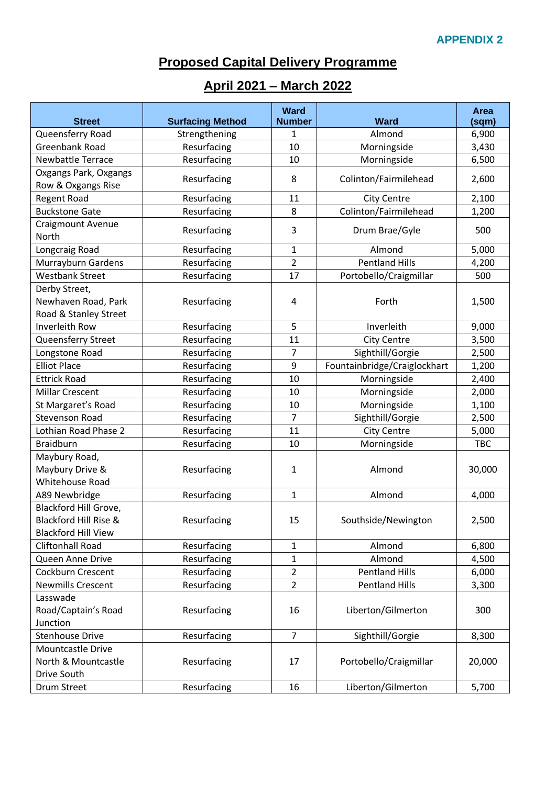## **Proposed Capital Delivery Programme**

## **April 2021 – March 2022**

| <b>Street</b>                                                                | <b>Surfacing Method</b> | <b>Ward</b><br><b>Number</b> | <b>Ward</b>                  | Area<br>(sqm) |
|------------------------------------------------------------------------------|-------------------------|------------------------------|------------------------------|---------------|
| Queensferry Road                                                             | Strengthening           | 1                            | Almond                       | 6,900         |
| Greenbank Road                                                               | Resurfacing             | 10                           | Morningside                  | 3,430         |
| Newbattle Terrace                                                            | Resurfacing             | 10                           | Morningside                  | 6,500         |
| Oxgangs Park, Oxgangs                                                        |                         |                              |                              |               |
| Row & Oxgangs Rise                                                           | Resurfacing             | 8                            | Colinton/Fairmilehead        | 2,600         |
| <b>Regent Road</b>                                                           | Resurfacing             | 11                           | <b>City Centre</b>           | 2,100         |
| <b>Buckstone Gate</b>                                                        | Resurfacing             | 8                            | Colinton/Fairmilehead        | 1,200         |
| Craigmount Avenue<br>North                                                   | Resurfacing             | 3                            | Drum Brae/Gyle               | 500           |
| Longcraig Road                                                               | Resurfacing             | $\mathbf{1}$                 | Almond                       | 5,000         |
| Murrayburn Gardens                                                           | Resurfacing             | $\overline{2}$               | <b>Pentland Hills</b>        | 4,200         |
| <b>Westbank Street</b>                                                       | Resurfacing             | 17                           | Portobello/Craigmillar       | 500           |
| Derby Street,<br>Newhaven Road, Park<br>Road & Stanley Street                | Resurfacing             | 4                            | Forth                        | 1,500         |
| Inverleith Row                                                               | Resurfacing             | 5                            | Inverleith                   | 9,000         |
| Queensferry Street                                                           | Resurfacing             | 11                           | <b>City Centre</b>           | 3,500         |
| Longstone Road                                                               | Resurfacing             | 7                            | Sighthill/Gorgie             | 2,500         |
| <b>Elliot Place</b>                                                          | Resurfacing             | 9                            | Fountainbridge/Craiglockhart | 1,200         |
| <b>Ettrick Road</b>                                                          | Resurfacing             | 10                           | Morningside                  | 2,400         |
| <b>Millar Crescent</b>                                                       | Resurfacing             | 10                           | Morningside                  | 2,000         |
| St Margaret's Road                                                           | Resurfacing             | 10                           | Morningside                  | 1,100         |
| <b>Stevenson Road</b>                                                        | Resurfacing             | $\overline{7}$               | Sighthill/Gorgie             | 2,500         |
| Lothian Road Phase 2                                                         | Resurfacing             | 11                           | <b>City Centre</b>           | 5,000         |
| <b>Braidburn</b>                                                             | Resurfacing             | 10                           | Morningside                  | <b>TBC</b>    |
| Maybury Road,<br>Maybury Drive &<br>Whitehouse Road                          | Resurfacing             | 1                            | Almond                       | 30,000        |
| A89 Newbridge                                                                | Resurfacing             | $\mathbf{1}$                 | Almond                       | 4,000         |
| Blackford Hill Grove,<br>Blackford Hill Rise &<br><b>Blackford Hill View</b> | Resurfacing             | 15                           | Southside/Newington          | 2,500         |
| <b>Cliftonhall Road</b>                                                      | Resurfacing             | $\mathbf{1}$                 | Almond                       | 6,800         |
| Queen Anne Drive                                                             | Resurfacing             | $\mathbf{1}$                 | Almond                       | 4,500         |
| Cockburn Crescent                                                            | Resurfacing             | $\overline{2}$               | <b>Pentland Hills</b>        | 6,000         |
| <b>Newmills Crescent</b>                                                     | Resurfacing             | $\overline{2}$               | <b>Pentland Hills</b>        | 3,300         |
| Lasswade<br>Road/Captain's Road<br>Junction                                  | Resurfacing             | 16                           | Liberton/Gilmerton           | 300           |
| <b>Stenhouse Drive</b>                                                       | Resurfacing             | $\overline{7}$               | Sighthill/Gorgie             | 8,300         |
| Mountcastle Drive<br>North & Mountcastle<br>Drive South                      | Resurfacing             | 17                           | Portobello/Craigmillar       | 20,000        |
| Drum Street                                                                  | Resurfacing             | 16                           | Liberton/Gilmerton           | 5,700         |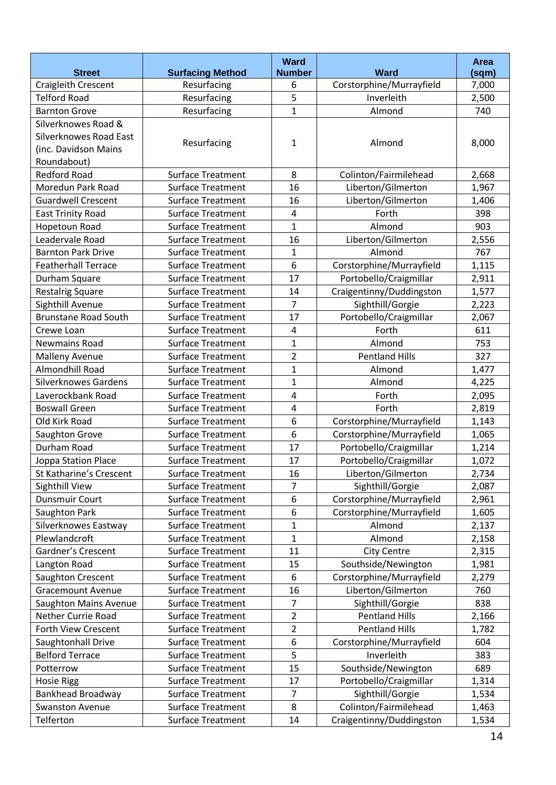|                              |                          | Ward                    |                          | Area  |
|------------------------------|--------------------------|-------------------------|--------------------------|-------|
| <b>Street</b>                | <b>Surfacing Method</b>  | <b>Number</b>           | <b>Ward</b>              | (sqm) |
| Craigleith Crescent          | Resurfacing              | 6                       | Corstorphine/Murrayfield | 7,000 |
| <b>Telford Road</b>          | Resurfacing              | 5                       | Inverleith               | 2,500 |
| <b>Barnton Grove</b>         | Resurfacing              | $\mathbf 1$             | Almond                   | 740   |
| Silverknowes Road &          |                          |                         |                          |       |
| Silverknowes Road East       | Resurfacing              | 1                       | Almond                   | 8,000 |
| (inc. Davidson Mains         |                          |                         |                          |       |
| Roundabout)                  |                          |                         |                          |       |
| <b>Redford Road</b>          | <b>Surface Treatment</b> | 8                       | Colinton/Fairmilehead    | 2,668 |
| Moredun Park Road            | <b>Surface Treatment</b> | 16                      | Liberton/Gilmerton       | 1,967 |
| <b>Guardwell Crescent</b>    | <b>Surface Treatment</b> | 16                      | Liberton/Gilmerton       | 1,406 |
| <b>East Trinity Road</b>     | <b>Surface Treatment</b> | 4                       | Forth                    | 398   |
| Hopetoun Road                | <b>Surface Treatment</b> | $\mathbf{1}$            | Almond                   | 903   |
| Leadervale Road              | Surface Treatment        | 16                      | Liberton/Gilmerton       | 2,556 |
| <b>Barnton Park Drive</b>    | <b>Surface Treatment</b> | $\mathbf{1}$            | Almond                   | 767   |
| <b>Featherhall Terrace</b>   | <b>Surface Treatment</b> | 6                       | Corstorphine/Murrayfield | 1,115 |
| Durham Square                | <b>Surface Treatment</b> | 17                      | Portobello/Craigmillar   | 2,911 |
| <b>Restalrig Square</b>      | <b>Surface Treatment</b> | 14                      | Craigentinny/Duddingston | 1,577 |
| Sighthill Avenue             | <b>Surface Treatment</b> | $\overline{7}$          | Sighthill/Gorgie         | 2,223 |
| <b>Brunstane Road South</b>  | <b>Surface Treatment</b> | 17                      | Portobello/Craigmillar   | 2,067 |
| Crewe Loan                   | <b>Surface Treatment</b> | $\overline{4}$          | Forth                    | 611   |
| <b>Newmains Road</b>         | <b>Surface Treatment</b> | $\mathbf{1}$            | Almond                   | 753   |
| <b>Malleny Avenue</b>        | <b>Surface Treatment</b> | $\overline{2}$          | <b>Pentland Hills</b>    | 327   |
| Almondhill Road              | <b>Surface Treatment</b> | $\mathbf{1}$            | Almond                   | 1,477 |
| <b>Silverknowes Gardens</b>  | <b>Surface Treatment</b> | 1                       | Almond                   | 4,225 |
| Laverockbank Road            | <b>Surface Treatment</b> | $\overline{\mathbf{4}}$ | Forth                    | 2,095 |
| <b>Boswall Green</b>         | <b>Surface Treatment</b> | $\overline{4}$          | Forth                    | 2,819 |
| Old Kirk Road                | <b>Surface Treatment</b> | 6                       | Corstorphine/Murrayfield | 1,143 |
| Saughton Grove               | <b>Surface Treatment</b> | 6                       | Corstorphine/Murrayfield | 1,065 |
| Durham Road                  | <b>Surface Treatment</b> | 17                      | Portobello/Craigmillar   | 1,214 |
| Joppa Station Place          | <b>Surface Treatment</b> | 17                      | Portobello/Craigmillar   | 1,072 |
| St Katharine's Crescent      | <b>Surface Treatment</b> | 16                      | Liberton/Gilmerton       | 2,734 |
| <b>Sighthill View</b>        | <b>Surface Treatment</b> | $\overline{7}$          | Sighthill/Gorgie         | 2,087 |
| <b>Dunsmuir Court</b>        | Surface Treatment        | 6                       | Corstorphine/Murrayfield | 2,961 |
| Saughton Park                | Surface Treatment        | 6                       | Corstorphine/Murrayfield | 1,605 |
| Silverknowes Eastway         | Surface Treatment        | $\mathbf{1}$            | Almond                   | 2,137 |
| Plewlandcroft                | Surface Treatment        | $\mathbf 1$             | Almond                   | 2,158 |
| Gardner's Crescent           | Surface Treatment        | 11                      | <b>City Centre</b>       | 2,315 |
| Langton Road                 | <b>Surface Treatment</b> | 15                      | Southside/Newington      | 1,981 |
| Saughton Crescent            | <b>Surface Treatment</b> | 6                       | Corstorphine/Murrayfield | 2,279 |
| <b>Gracemount Avenue</b>     | Surface Treatment        | 16                      | Liberton/Gilmerton       | 760   |
| <b>Saughton Mains Avenue</b> | Surface Treatment        | 7                       | Sighthill/Gorgie         | 838   |
| Nether Currie Road           | Surface Treatment        | $\overline{2}$          | <b>Pentland Hills</b>    | 2,166 |
| Forth View Crescent          | Surface Treatment        | $\overline{2}$          | <b>Pentland Hills</b>    | 1,782 |
| Saughtonhall Drive           | Surface Treatment        | 6                       | Corstorphine/Murrayfield | 604   |
| <b>Belford Terrace</b>       | <b>Surface Treatment</b> | 5                       | Inverleith               | 383   |
| Potterrow                    | Surface Treatment        | 15                      | Southside/Newington      | 689   |
| <b>Hosie Rigg</b>            | Surface Treatment        | 17                      | Portobello/Craigmillar   | 1,314 |
| <b>Bankhead Broadway</b>     | Surface Treatment        | 7                       | Sighthill/Gorgie         | 1,534 |
| <b>Swanston Avenue</b>       | <b>Surface Treatment</b> | 8                       | Colinton/Fairmilehead    | 1,463 |
| Telferton                    | Surface Treatment        | 14                      | Craigentinny/Duddingston | 1,534 |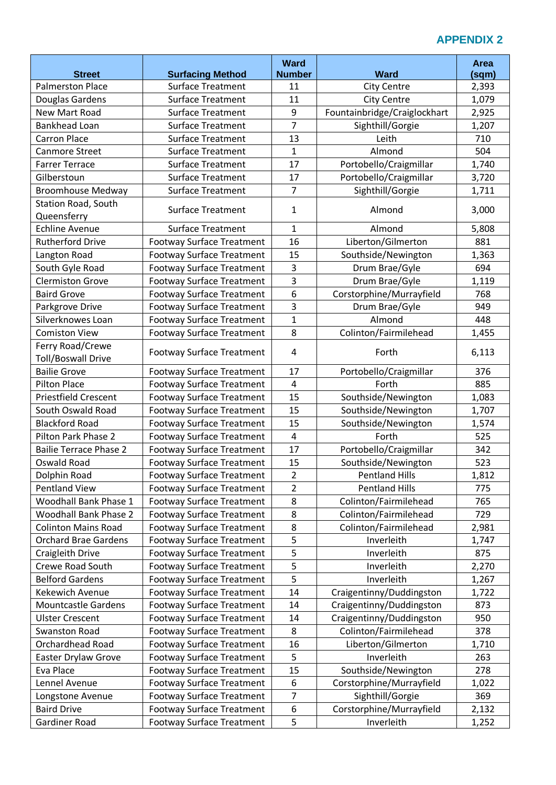### **APPENDIX 2**

|                                                  |                                                      | <b>Ward</b>             | <b>Ward</b>                              | Area  |
|--------------------------------------------------|------------------------------------------------------|-------------------------|------------------------------------------|-------|
| <b>Street</b><br><b>Palmerston Place</b>         | <b>Surfacing Method</b><br><b>Surface Treatment</b>  | <b>Number</b><br>11     |                                          | (sqm) |
|                                                  |                                                      | 11                      | <b>City Centre</b><br><b>City Centre</b> | 2,393 |
| Douglas Gardens<br>New Mart Road                 | <b>Surface Treatment</b><br><b>Surface Treatment</b> | 9                       |                                          | 1,079 |
|                                                  |                                                      | $\overline{7}$          | Fountainbridge/Craiglockhart             | 2,925 |
| <b>Bankhead Loan</b>                             | <b>Surface Treatment</b>                             |                         | Sighthill/Gorgie                         | 1,207 |
| <b>Carron Place</b>                              | <b>Surface Treatment</b>                             | 13                      | Leith                                    | 710   |
| Canmore Street<br><b>Farrer Terrace</b>          | <b>Surface Treatment</b><br><b>Surface Treatment</b> | 1<br>17                 | Almond                                   | 504   |
|                                                  |                                                      |                         | Portobello/Craigmillar                   | 1,740 |
| Gilberstoun                                      | <b>Surface Treatment</b>                             | 17<br>$\overline{7}$    | Portobello/Craigmillar                   | 3,720 |
| <b>Broomhouse Medway</b>                         | <b>Surface Treatment</b>                             |                         | Sighthill/Gorgie                         | 1,711 |
| <b>Station Road, South</b>                       | <b>Surface Treatment</b>                             | 1                       | Almond                                   | 3,000 |
| Queensferry                                      |                                                      |                         |                                          |       |
| <b>Echline Avenue</b><br><b>Rutherford Drive</b> | <b>Surface Treatment</b>                             | $\mathbf{1}$            | Almond                                   | 5,808 |
|                                                  | <b>Footway Surface Treatment</b>                     | 16                      | Liberton/Gilmerton                       | 881   |
| Langton Road                                     | <b>Footway Surface Treatment</b>                     | 15                      | Southside/Newington                      | 1,363 |
| South Gyle Road                                  | <b>Footway Surface Treatment</b>                     | 3                       | Drum Brae/Gyle                           | 694   |
| <b>Clermiston Grove</b>                          | <b>Footway Surface Treatment</b>                     | 3                       | Drum Brae/Gyle                           | 1,119 |
| <b>Baird Grove</b>                               | <b>Footway Surface Treatment</b>                     | 6                       | Corstorphine/Murrayfield                 | 768   |
| Parkgrove Drive                                  | <b>Footway Surface Treatment</b>                     | 3                       | Drum Brae/Gyle                           | 949   |
| Silverknowes Loan                                | <b>Footway Surface Treatment</b>                     | $\mathbf{1}$            | Almond                                   | 448   |
| <b>Comiston View</b>                             | <b>Footway Surface Treatment</b>                     | 8                       | Colinton/Fairmilehead                    | 1,455 |
| Ferry Road/Crewe<br><b>Toll/Boswall Drive</b>    | <b>Footway Surface Treatment</b>                     | 4                       | Forth                                    | 6,113 |
| <b>Bailie Grove</b>                              | <b>Footway Surface Treatment</b>                     | 17                      | Portobello/Craigmillar                   | 376   |
| <b>Pilton Place</b>                              | <b>Footway Surface Treatment</b>                     | $\overline{4}$          | Forth                                    | 885   |
| <b>Priestfield Crescent</b>                      | <b>Footway Surface Treatment</b>                     | 15                      | Southside/Newington                      | 1,083 |
| South Oswald Road                                | <b>Footway Surface Treatment</b>                     | 15                      | Southside/Newington                      | 1,707 |
| <b>Blackford Road</b>                            | <b>Footway Surface Treatment</b>                     | 15                      | Southside/Newington                      | 1,574 |
| Pilton Park Phase 2                              | <b>Footway Surface Treatment</b>                     | $\overline{\mathbf{4}}$ | Forth                                    | 525   |
| <b>Bailie Terrace Phase 2</b>                    | <b>Footway Surface Treatment</b>                     | 17                      | Portobello/Craigmillar                   | 342   |
| Oswald Road                                      | <b>Footway Surface Treatment</b>                     | 15                      | Southside/Newington                      | 523   |
| Dolphin Road                                     | <b>Footway Surface Treatment</b>                     | $\overline{2}$          | <b>Pentland Hills</b>                    | 1,812 |
| <b>Pentland View</b>                             | <b>Footway Surface Treatment</b>                     | $\overline{2}$          | <b>Pentland Hills</b>                    | 775   |
| Woodhall Bank Phase 1                            | <b>Footway Surface Treatment</b>                     | 8                       | Colinton/Fairmilehead                    | 765   |
| <b>Woodhall Bank Phase 2</b>                     | <b>Footway Surface Treatment</b>                     | 8                       | Colinton/Fairmilehead                    | 729   |
| <b>Colinton Mains Road</b>                       | <b>Footway Surface Treatment</b>                     | 8                       | Colinton/Fairmilehead                    | 2,981 |
| <b>Orchard Brae Gardens</b>                      | <b>Footway Surface Treatment</b>                     | 5                       | Inverleith                               | 1,747 |
| Craigleith Drive                                 | <b>Footway Surface Treatment</b>                     | 5                       | Inverleith                               | 875   |
| <b>Crewe Road South</b>                          | <b>Footway Surface Treatment</b>                     | 5                       | Inverleith                               | 2,270 |
| <b>Belford Gardens</b>                           | <b>Footway Surface Treatment</b>                     | 5                       | Inverleith                               | 1,267 |
| <b>Kekewich Avenue</b>                           | <b>Footway Surface Treatment</b>                     | 14                      | Craigentinny/Duddingston                 | 1,722 |
| <b>Mountcastle Gardens</b>                       | <b>Footway Surface Treatment</b>                     | 14                      | Craigentinny/Duddingston                 | 873   |
| <b>Ulster Crescent</b>                           | <b>Footway Surface Treatment</b>                     | 14                      | Craigentinny/Duddingston                 | 950   |
| <b>Swanston Road</b>                             | <b>Footway Surface Treatment</b>                     | 8                       | Colinton/Fairmilehead                    | 378   |
| Orchardhead Road                                 | <b>Footway Surface Treatment</b>                     | 16                      | Liberton/Gilmerton                       | 1,710 |
| <b>Easter Drylaw Grove</b>                       | <b>Footway Surface Treatment</b>                     | 5                       | Inverleith                               | 263   |
| Eva Place                                        | <b>Footway Surface Treatment</b>                     | 15                      | Southside/Newington                      | 278   |
| Lennel Avenue                                    | <b>Footway Surface Treatment</b>                     | 6                       | Corstorphine/Murrayfield                 | 1,022 |
| Longstone Avenue                                 | <b>Footway Surface Treatment</b>                     | 7                       | Sighthill/Gorgie                         | 369   |
| <b>Baird Drive</b>                               | <b>Footway Surface Treatment</b>                     | 6                       | Corstorphine/Murrayfield                 | 2,132 |
| Gardiner Road                                    | <b>Footway Surface Treatment</b>                     | 5                       | Inverleith                               | 1,252 |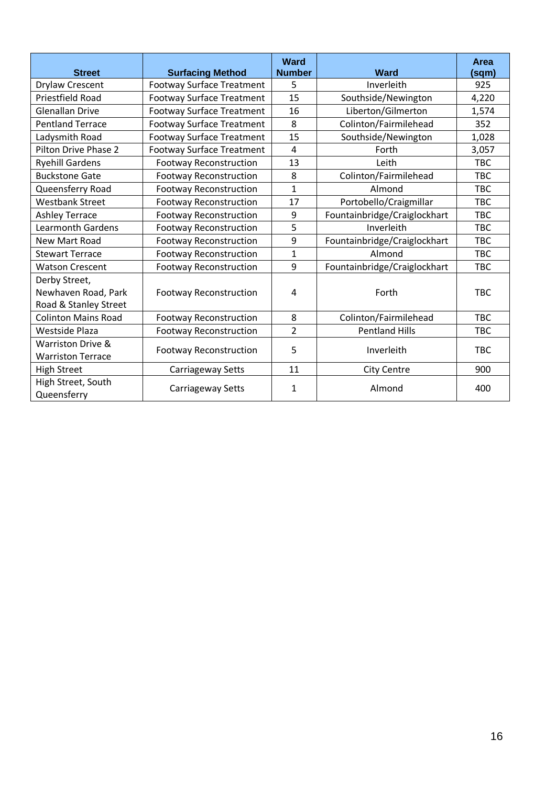| <b>Street</b>                                                 | <b>Surfacing Method</b>          | <b>Ward</b><br><b>Number</b> | <b>Ward</b>                  | Area<br>(sqm) |
|---------------------------------------------------------------|----------------------------------|------------------------------|------------------------------|---------------|
| <b>Drylaw Crescent</b>                                        | <b>Footway Surface Treatment</b> | 5                            | Inverleith                   | 925           |
| Priestfield Road                                              | <b>Footway Surface Treatment</b> | 15                           | Southside/Newington          | 4,220         |
| <b>Glenallan Drive</b>                                        | <b>Footway Surface Treatment</b> | 16                           | Liberton/Gilmerton           | 1,574         |
| <b>Pentland Terrace</b>                                       | <b>Footway Surface Treatment</b> | 8                            | Colinton/Fairmilehead        | 352           |
| Ladysmith Road                                                | <b>Footway Surface Treatment</b> | 15                           | Southside/Newington          | 1,028         |
| Pilton Drive Phase 2                                          | <b>Footway Surface Treatment</b> | $\overline{\mathbf{4}}$      | Forth                        | 3,057         |
| <b>Ryehill Gardens</b>                                        | <b>Footway Reconstruction</b>    | 13                           | Leith                        | <b>TBC</b>    |
| <b>Buckstone Gate</b>                                         | <b>Footway Reconstruction</b>    | 8                            | Colinton/Fairmilehead        | <b>TBC</b>    |
| Queensferry Road                                              | <b>Footway Reconstruction</b>    | 1                            | Almond                       | <b>TBC</b>    |
| <b>Westbank Street</b>                                        | <b>Footway Reconstruction</b>    | 17                           | Portobello/Craigmillar       | <b>TBC</b>    |
| <b>Ashley Terrace</b>                                         | <b>Footway Reconstruction</b>    | 9                            | Fountainbridge/Craiglockhart | <b>TBC</b>    |
| <b>Learmonth Gardens</b>                                      | <b>Footway Reconstruction</b>    | 5                            | Inverleith                   | <b>TBC</b>    |
| New Mart Road                                                 | <b>Footway Reconstruction</b>    | 9                            | Fountainbridge/Craiglockhart | <b>TBC</b>    |
| <b>Stewart Terrace</b>                                        | <b>Footway Reconstruction</b>    | $\mathbf{1}$                 | Almond                       | <b>TBC</b>    |
| <b>Watson Crescent</b>                                        | <b>Footway Reconstruction</b>    | 9                            | Fountainbridge/Craiglockhart | <b>TBC</b>    |
| Derby Street,<br>Newhaven Road, Park<br>Road & Stanley Street | <b>Footway Reconstruction</b>    | 4                            | Forth                        | <b>TBC</b>    |
| <b>Colinton Mains Road</b>                                    | <b>Footway Reconstruction</b>    | 8                            | Colinton/Fairmilehead        | <b>TBC</b>    |
| Westside Plaza                                                | <b>Footway Reconstruction</b>    | $\overline{2}$               | <b>Pentland Hills</b>        | <b>TBC</b>    |
| Warriston Drive &<br><b>Warriston Terrace</b>                 | <b>Footway Reconstruction</b>    | 5                            | Inverleith                   | <b>TBC</b>    |
| <b>High Street</b>                                            | Carriageway Setts                | 11                           | <b>City Centre</b>           | 900           |
| High Street, South<br>Queensferry                             | Carriageway Setts                | 1                            | Almond                       | 400           |